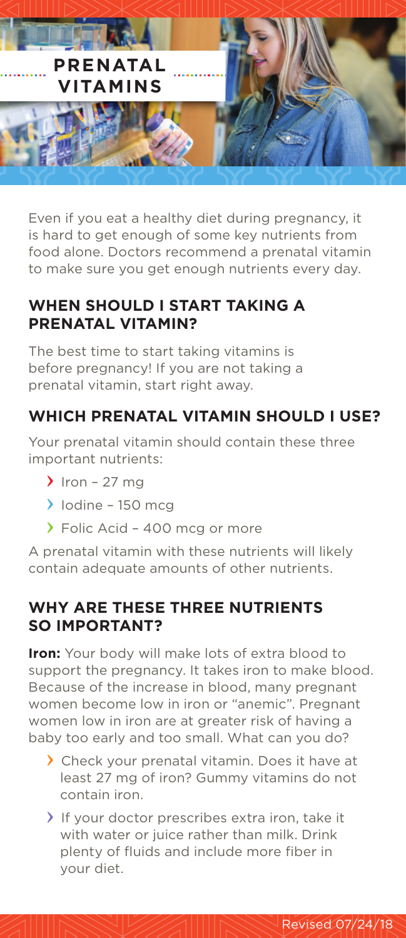

Even if you eat a healthy diet during pregnancy, it is hard to get enough of some key nutrients from food alone. Doctors recommend a prenatal vitamin to make sure you get enough nutrients every day.

### **WHEN SHOULD I START TAKING A PRENATAL VITAMIN?**

The best time to start taking vitamins is before pregnancy! If you are not taking a prenatal vitamin, start right away.

# **WHICH PRENATAL VITAMIN SHOULD I USE?**

Your prenatal vitamin should contain these three important nutrients:

- $\sum$  Iron 27 mg
- $\blacktriangleright$  Iodine 150 mcg
- Folic Acid 400 mcg or more

A prenatal vitamin with these nutrients will likely contain adequate amounts of other nutrients.

## **WHY ARE THESE THREE NUTRIENTS SO IMPORTANT?**

**Iron:** Your body will make lots of extra blood to support the pregnancy. It takes iron to make blood. Because of the increase in blood, many pregnant women become low in iron or "anemic". Pregnant women low in iron are at greater risk of having a baby too early and too small. What can you do?

- Check your prenatal vitamin. Does it have at least 27 mg of iron? Gummy vitamins do not contain iron.
- If your doctor prescribes extra iron, take it with water or juice rather than milk. Drink plenty of fluids and include more fiber in your diet.

Revised 07/24/18